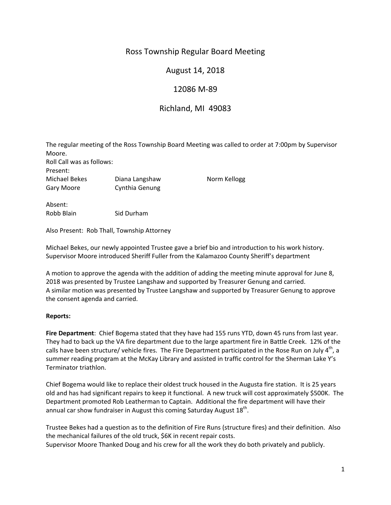# Ross Township Regular Board Meeting

## August 14, 2018

## 12086 M‐89

## Richland, MI 49083

The regular meeting of the Ross Township Board Meeting was called to order at 7:00pm by Supervisor Moore. Roll Call was as follows: Present: Michael Bekes Diana Langshaw Norm Kellogg Gary Moore Cynthia Genung

Absent: Robb Blain Sid Durham

Also Present: Rob Thall, Township Attorney

Michael Bekes, our newly appointed Trustee gave a brief bio and introduction to his work history. Supervisor Moore introduced Sheriff Fuller from the Kalamazoo County Sheriff's department

A motion to approve the agenda with the addition of adding the meeting minute approval for June 8, 2018 was presented by Trustee Langshaw and supported by Treasurer Genung and carried. A similar motion was presented by Trustee Langshaw and supported by Treasurer Genung to approve the consent agenda and carried.

### **Reports:**

**Fire Department**: Chief Bogema stated that they have had 155 runs YTD, down 45 runs from last year. They had to back up the VA fire department due to the large apartment fire in Battle Creek. 12% of the calls have been structure/ vehicle fires. The Fire Department participated in the Rose Run on July 4<sup>th</sup>, a summer reading program at the McKay Library and assisted in traffic control for the Sherman Lake Y's Terminator triathlon.

Chief Bogema would like to replace their oldest truck housed in the Augusta fire station. It is 25 years old and has had significant repairs to keep it functional. A new truck will cost approximately \$500K. The Department promoted Rob Leatherman to Captain. Additional the fire department will have their annual car show fundraiser in August this coming Saturday August 18<sup>th</sup>.

Trustee Bekes had a question as to the definition of Fire Runs (structure fires) and their definition. Also the mechanical failures of the old truck, \$6K in recent repair costs. Supervisor Moore Thanked Doug and his crew for all the work they do both privately and publicly.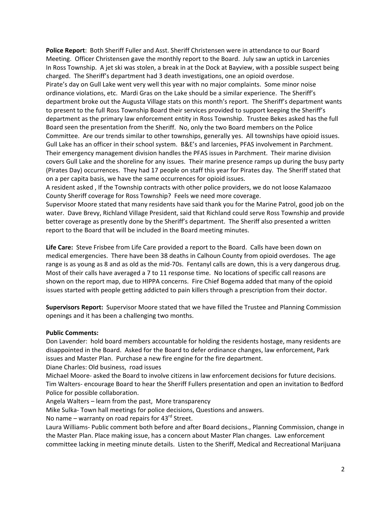**Police Report**: Both Sheriff Fuller and Asst. Sheriff Christensen were in attendance to our Board Meeting. Officer Christensen gave the monthly report to the Board. July saw an uptick in Larcenies In Ross Township. A jet ski was stolen, a break in at the Dock at Bayview, with a possible suspect being charged. The Sheriff's department had 3 death investigations, one an opioid overdose. Pirate's day on Gull Lake went very well this year with no major complaints. Some minor noise ordinance violations, etc. Mardi Gras on the Lake should be a similar experience. The Sheriff's department broke out the Augusta Village stats on this month's report. The Sheriff's department wants to present to the full Ross Township Board their services provided to support keeping the Sheriff's department as the primary law enforcement entity in Ross Township. Trustee Bekes asked has the full Board seen the presentation from the Sheriff. No, only the two Board members on the Police Committee. Are our trends similar to other townships, generally yes. All townships have opioid issues. Gull Lake has an officer in their school system. B&E's and larcenies, PFAS involvement in Parchment. Their emergency management division handles the PFAS issues in Parchment. Their marine division covers Gull Lake and the shoreline for any issues. Their marine presence ramps up during the busy party (Pirates Day) occurrences. They had 17 people on staff this year for Pirates day. The Sheriff stated that on a per capita basis, we have the same occurrences for opioid issues.

A resident asked , If the Township contracts with other police providers, we do not loose Kalamazoo County Sheriff coverage for Ross Township? Feels we need more coverage.

Supervisor Moore stated that many residents have said thank you for the Marine Patrol, good job on the water. Dave Brevy, Richland Village President, said that Richland could serve Ross Township and provide better coverage as presently done by the Sheriff's department. The Sheriff also presented a written report to the Board that will be included in the Board meeting minutes.

**Life Care:** Steve Frisbee from Life Care provided a report to the Board. Calls have been down on medical emergencies. There have been 38 deaths in Calhoun County from opioid overdoses. The age range is as young as 8 and as old as the mid-70s. Fentanyl calls are down, this is a very dangerous drug. Most of their calls have averaged a 7 to 11 response time. No locations of specific call reasons are shown on the report map, due to HIPPA concerns. Fire Chief Bogema added that many of the opioid issues started with people getting addicted to pain killers through a prescription from their doctor.

**Supervisors Report:** Supervisor Moore stated that we have filled the Trustee and Planning Commission openings and it has been a challenging two months.

### **Public Comments:**

Don Lavender: hold board members accountable for holding the residents hostage, many residents are disappointed in the Board. Asked for the Board to defer ordinance changes, law enforcement, Park issues and Master Plan. Purchase a new fire engine for the fire department.

Diane Charles: Old business, road issues

Michael Moore‐ asked the Board to involve citizens in law enforcement decisions for future decisions. Tim Walters‐ encourage Board to hear the Sheriff Fullers presentation and open an invitation to Bedford Police for possible collaboration.

Angela Walters – learn from the past, More transparency

Mike Sulka‐ Town hall meetings for police decisions, Questions and answers.

No name – warranty on road repairs for  $43^{rd}$  Street.

Laura Williams‐ Public comment both before and after Board decisions., Planning Commission, change in the Master Plan. Place making issue, has a concern about Master Plan changes. Law enforcement committee lacking in meeting minute details. Listen to the Sheriff, Medical and Recreational Marijuana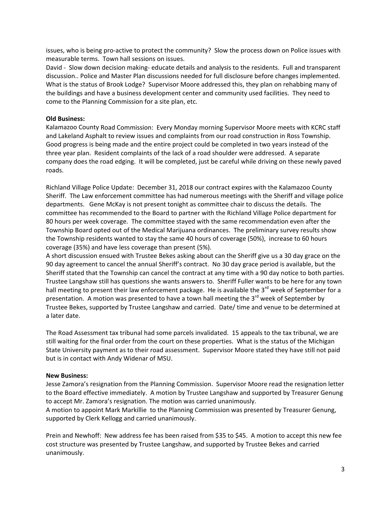issues, who is being pro‐active to protect the community? Slow the process down on Police issues with measurable terms. Town hall sessions on issues.

David ‐ Slow down decision making‐ educate details and analysis to the residents. Full and transparent discussion.. Police and Master Plan discussions needed for full disclosure before changes implemented. What is the status of Brook Lodge? Supervisor Moore addressed this, they plan on rehabbing many of the buildings and have a business development center and community used facilities. They need to come to the Planning Commission for a site plan, etc.

#### **Old Business:**

Kalamazoo County Road Commission: Every Monday morning Supervisor Moore meets with KCRC staff and Lakeland Asphalt to review issues and complaints from our road construction in Ross Township. Good progress is being made and the entire project could be completed in two years instead of the three year plan. Resident complaints of the lack of a road shoulder were addressed. A separate company does the road edging. It will be completed, just be careful while driving on these newly paved roads.

Richland Village Police Update: December 31, 2018 our contract expires with the Kalamazoo County Sheriff. The Law enforcement committee has had numerous meetings with the Sheriff and village police departments. Gene McKay is not present tonight as committee chair to discuss the details. The committee has recommended to the Board to partner with the Richland Village Police department for 80 hours per week coverage. The committee stayed with the same recommendation even after the Township Board opted out of the Medical Marijuana ordinances. The preliminary survey results show the Township residents wanted to stay the same 40 hours of coverage (50%), increase to 60 hours coverage (35%) and have less coverage than present (5%).

A short discussion ensued with Trustee Bekes asking about can the Sheriff give us a 30 day grace on the 90 day agreement to cancel the annual Sheriff's contract. No 30 day grace period is available, but the Sheriff stated that the Township can cancel the contract at any time with a 90 day notice to both parties. Trustee Langshaw still has questions she wants answers to. Sheriff Fuller wants to be here for any town hall meeting to present their law enforcement package. He is available the 3<sup>rd</sup> week of September for a presentation. A motion was presented to have a town hall meeting the  $3<sup>rd</sup>$  week of September by Trustee Bekes, supported by Trustee Langshaw and carried. Date/ time and venue to be determined at a later date.

The Road Assessment tax tribunal had some parcels invalidated. 15 appeals to the tax tribunal, we are still waiting for the final order from the court on these properties. What is the status of the Michigan State University payment as to their road assessment. Supervisor Moore stated they have still not paid but is in contact with Andy Widenar of MSU.

#### **New Business:**

Jesse Zamora's resignation from the Planning Commission. Supervisor Moore read the resignation letter to the Board effective immediately. A motion by Trustee Langshaw and supported by Treasurer Genung to accept Mr. Zamora's resignation. The motion was carried unanimously.

A motion to appoint Mark Markillie to the Planning Commission was presented by Treasurer Genung, supported by Clerk Kellogg and carried unanimously.

Prein and Newhoff: New address fee has been raised from \$35 to \$45. A motion to accept this new fee cost structure was presented by Trustee Langshaw, and supported by Trustee Bekes and carried unanimously.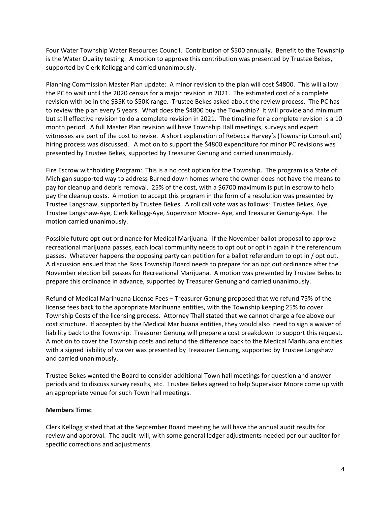Four Water Township Water Resources Council. Contribution of \$500 annually. Benefit to the Township is the Water Quality testing. A motion to approve this contribution was presented by Trustee Bekes, supported by Clerk Kellogg and carried unanimously.

Planning Commission Master Plan update: A minor revision to the plan will cost \$4800. This will allow the PC to wait until the 2020 census for a major revision in 2021. The estimated cost of a complete revision with be in the \$35K to \$50K range. Trustee Bekes asked about the review process. The PC has to review the plan every 5 years. What does the \$4800 buy the Township? It will provide and minimum but still effective revision to do a complete revision in 2021. The timeline for a complete revision is a 10 month period. A full Master Plan revision will have Township Hall meetings, surveys and expert witnesses are part of the cost to revise. A short explanation of Rebecca Harvey's (Township Consultant) hiring process was discussed. A motion to support the \$4800 expenditure for minor PC revisions was presented by Trustee Bekes, supported by Treasurer Genung and carried unanimously.

Fire Escrow withholding Program: This is a no cost option for the Township. The program is a State of Michigan supported way to address Burned down homes where the owner does not have the means to pay for cleanup and debris removal. 25% of the cost, with a \$6700 maximum is put in escrow to help pay the cleanup costs. A motion to accept this program in the form of a resolution was presented by Trustee Langshaw, supported by Trustee Bekes. A roll call vote was as follows: Trustee Bekes, Aye, Trustee Langshaw‐Aye, Clerk Kellogg‐Aye, Supervisor Moore‐ Aye, and Treasurer Genung‐Aye. The motion carried unanimously.

Possible future opt‐out ordinance for Medical Marijuana. If the November ballot proposal to approve recreational marijuana passes, each local community needs to opt out or opt in again if the referendum passes. Whatever happens the opposing party can petition for a ballot referendum to opt in / opt out. A discussion ensued that the Ross Township Board needs to prepare for an opt out ordinance after the November election bill passes for Recreational Marijuana. A motion was presented by Trustee Bekes to prepare this ordinance in advance, supported by Treasurer Genung and carried unanimously.

Refund of Medical Marihuana License Fees – Treasurer Genung proposed that we refund 75% of the license fees back to the appropriate Marihuana entities, with the Township keeping 25% to cover Township Costs of the licensing process. Attorney Thall stated that we cannot charge a fee above our cost structure. If accepted by the Medical Marihuana entities, they would also need to sign a waiver of liability back to the Township. Treasurer Genung will prepare a cost breakdown to support this request. A motion to cover the Township costs and refund the difference back to the Medical Marihuana entities with a signed liability of waiver was presented by Treasurer Genung, supported by Trustee Langshaw and carried unanimously.

Trustee Bekes wanted the Board to consider additional Town hall meetings for question and answer periods and to discuss survey results, etc. Trustee Bekes agreed to help Supervisor Moore come up with an appropriate venue for such Town hall meetings.

### **Members Time:**

Clerk Kellogg stated that at the September Board meeting he will have the annual audit results for review and approval. The audit will, with some general ledger adjustments needed per our auditor for specific corrections and adjustments.